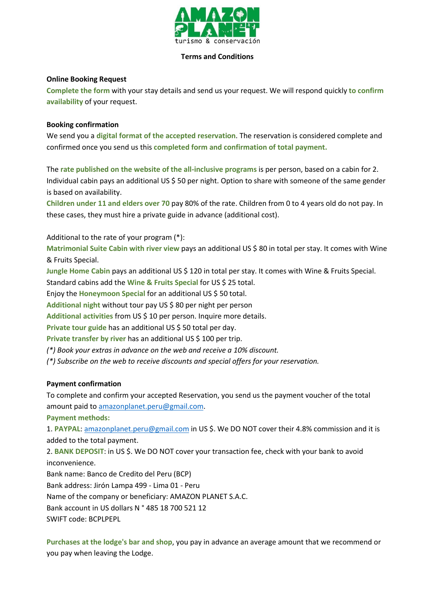

#### **Terms and Conditions**

### **Online Booking Request**

**Complete the form** with your stay details and send us your request. We will respond quickly **to confirm availability** of your request.

### **Booking confirmation**

We send you a **digital format of the accepted reservation**. The reservation is considered complete and confirmed once you send us this **completed form and confirmation of total payment.**

The **rate published on the website of the all-inclusive programs** is per person, based on a cabin for 2. Individual cabin pays an additional US \$ 50 per night. Option to share with someone of the same gender is based on availability.

**Children under 11 and elders over 70** pay 80% of the rate. Children from 0 to 4 years old do not pay. In these cases, they must hire a private guide in advance (additional cost).

Additional to the rate of your program (\*):

**Matrimonial Suite Cabin with river view** pays an additional US \$ 80 in total per stay. It comes with Wine & Fruits Special.

**Jungle Home Cabin** pays an additional US \$ 120 in total per stay. It comes with Wine & Fruits Special.

Standard cabins add the **Wine & Fruits Special** for US \$ 25 total.

Enjoy the **Honeymoon Special** for an additional US \$ 50 total.

**Additional night** without tour pay US \$ 80 per night per person

Additional activities from US \$ 10 per person. Inquire more details.

**Private tour guide** has an additional US \$ 50 total per day.

**Private transfer by river** has an additional US \$ 100 per trip.

*(\*) Book your extras in advance on the web and receive a 10% discount.*

*(\*) Subscribe on the web to receive discounts and special offers for your reservation.*

## **Payment confirmation**

To complete and confirm your accepted Reservation, you send us the payment voucher of the total amount paid to [amazonplanet.peru@gmail.com.](mailto:amazonplanet.peru@gmail.com)

**Payment methods:**

1. **PAYPAL**: [amazonplanet.peru@gmail.com](mailto:amazonplanet.peru@gmail.com) in US \$. We DO NOT cover their 4.8% commission and it is added to the total payment.

2. **BANK DEPOSIT**: in US \$. We DO NOT cover your transaction fee, check with your bank to avoid inconvenience.

Bank name: Banco de Credito del Peru (BCP) Bank address: Jirón Lampa 499 - Lima 01 - Peru

Name of the company or beneficiary: AMAZON PLANET S.A.C.

Bank account in US dollars N ° 485 18 700 521 12

SWIFT code: BCPLPEPL

**Purchases at the lodge's bar and shop**, you pay in advance an average amount that we recommend or you pay when leaving the Lodge.